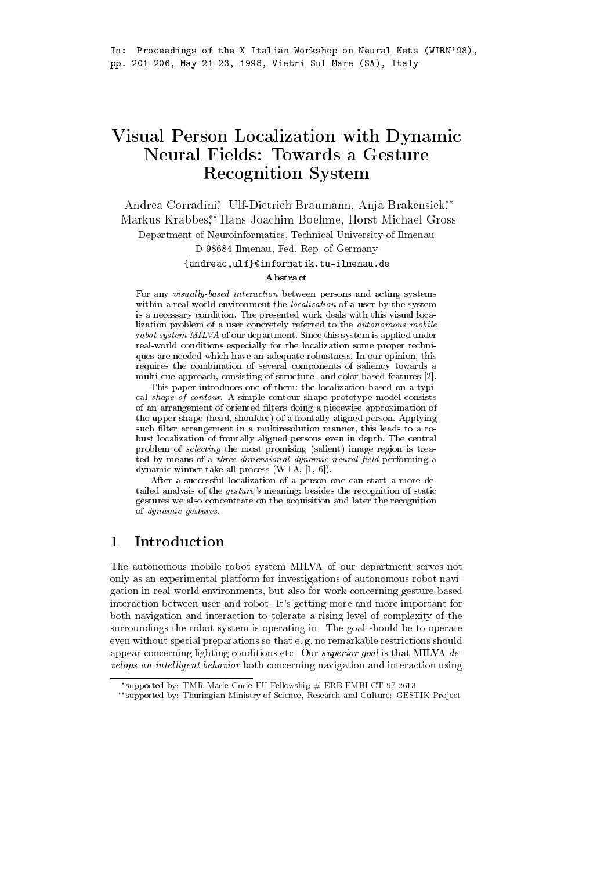# Visual Person Localization with Dynamic Neural Fields- Towards <sup>a</sup> Gesture Recognition System

Andrea Corradini, –Ulf-Dietrich Braumann, Anja Brakensiek, – Markus Krabbes, -Hans-Joachim Boehme, Horst-Michael Gross

Department of Neuroinformatics- Technical University of Ilmenau

d Ilmenau-African and the Communication of Germany and Germany and Germany and Germany and Germany and Germany andreac-ulfinformatiktuilmenauden kommen van de stellingen van de stellingen van de stellingen van de stellingen

### Abstract

For any visual ly-based interaction between persons and acting systems with a real-contraction of a real-contraction of a user by the system of a user by the system of a user by the is a necessary condition The presented work deals with this visual localization problem of a user concretely referred to the autonomous mobile robot system MILVA of our department. Since this system is applied under real-world conditions especially for the localization some proper techniques are needed which have an adequate robustness. In our opinion, this requires the combination of several components of saliency towards a multi-cue approach communicação de structure- and color-calendarum de la provincia de la p

This paper introduces one of them: the localization based on a typical shape of contour A simple contour shape prototype model consists of an arrangement of oriented filters doing a piecewise approximation of the upper shoulder (heading shoulder of a frontally independently personally aligned personally  $\sim$ such filter arrangement in a multiresolution manner, this leads to a robust localization of frontally aligned persons even in depth The central problem of selecting the most promising salient image region is treated by means of a three-dimensional dynamic neural eld performing a all process winners are process (all process for  $\mathcal{L}_1$ 

After a successful localization of a person one can start a more detailed analysis of the *gesture's* meaning: besides the recognition of static gestures we also concentrate on the acquisition and later the recognition of dynamic gestures

The autonomous mobile robot system MILVA of our department serves not only as an experimental platform for investigations of autonomous robot navi  $\mathbf{b}$ interaction between user and robot. It's getting more and more important for both navigation and interaction to tolerate a rising level of complexity of the surroundings the robot system is operating in. The goal should be to operate even without special preparations so that e.g. no remarkable restrictions should appear concerning lighting conditions etc. Our *superior goal* is that MILVA  $de$ velops an intelligent behavior both concerning navigation and interaction using

SUDDOLEGE DV: TMR Marie Curie EU Fellowship  $\#$  FRB FMBI CT 97-2015

supported by- Thuringian Ministry of Science Research and Culture- GESTIKPro ject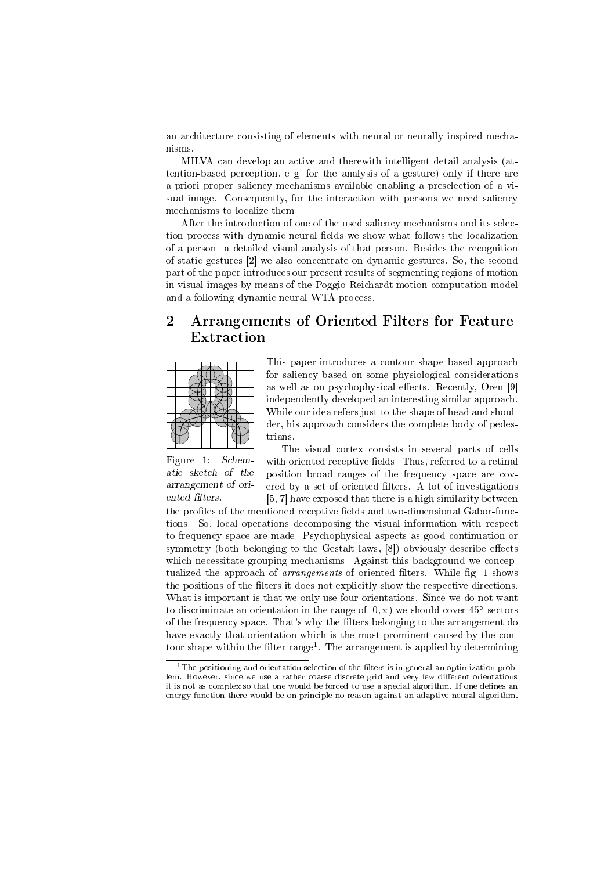an architecture consisting of elements with neural or neurally inspired mecha

MILVA can develop an active and therewith intelligent detail analysis at tention-based perception-based perception-based perception-based perception-based perception-based perceptiona priori proper saliency mechanisms available enabling a preselection of a vi sual image Consequently- for the interaction with persons we need saliency mechanisms to localize them

After the introduction of one of the used saliency mechanisms and its selec tion process with dynamic neural fields we show what follows the localization of a person a detailed visual analysis of that person Besides the recognition of static gestures we also concentrate on dynamic gestures So- the second part of the paper introduces our present results of segmenting regions of motion in visual images by means of the Poggio-Reichardt motion computation model and a following dynamic neural WTA process

#### $\overline{2}$  Arrangements of Oriented Filters for Feature Extraction

This paper introduces a contour shape based approach for saliency based on some physiological considerations as well as on psychophysical extent as on psychophysical extensive and the contract of the contract of the contract of the contract of the contract of the contract of the contract of the contract of the contract of the con independently developed an interesting similar approach While our idea refers just to the shape of head and shoul der also approach complete body of pedestrial considers the complete body of pedestrial constants of pedestria trians

Figure Schematic sketch of the arrangement of oriented filters.

with oriented receptive heads. Thus, referred to a retinal ered by a set of oriented lters A lot of investigations The visual cortex consists in several parts of cells position broad ranges of the frequency space are cov - have exposed that there is a high similarity between

the profiles of the mentioned receptive fields and two-dimensional Gabor-functions So- local operations decomposing the visual information with respect to frequency space are made Psychophysical aspects as good continuation or symmetry both belonging to the Gestalt laws- obviously describe eects which necessitate grouping mechanisms. Against this background we conceptualized the approach of arrangements of oriented filters. While fig. 1 shows the positions of the filters it does not explicitly show the respective directions. What is important is that we only use four orientations Since we do not want to discriminate an orientation in the range of  $[0, \pi)$  we should cover 45 -sectors of the frequency space. That's why the filters belonging to the arrangement do have exactly that orientation which is the most prominent caused by the con tour snape within the filter range The arrangement is applied by determining

<sup>&</sup>lt;sup>1</sup>The positioning and orientation selection of the filters is in general an optimization problem However since we use a rather coarse discrete grid and very few dierent orientationsit is not as complex so that one would be forced to use a special algorithm. If one defines an energy function there would be on principle no reason against an adaptive neural algorithm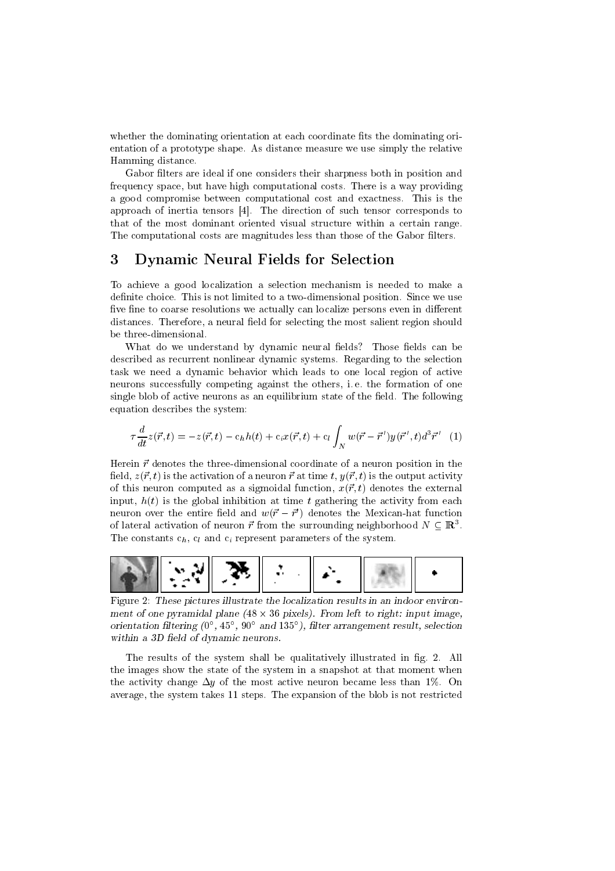whether the dominating orientation at each coordinate fits the dominating orientation of a prototype shape. As distance measure we use simply the relative Hamming distance

Gabor filters are ideal if one considers their sharpness both in position and frequency space- but have high computational costs There is a way providing a good compromise between computational cost and exactness. This is the approach of inertia tensors  $[4]$ . The direction of such tensor corresponds to that of the most dominant oriented visual structure within a certain range The computational costs are magnitudes less than those of the Gabor filters.

## Dynamic Neural Fields for Selection

To achieve a good localization a selection mechanism is needed to make a definite choice. This is not limited to a two-dimensional position. Since we use five fine to coarse resolutions we actually can localize persons even in different distances Therefore-Indian most salient therefore the most selection shows the most salient regions when the most be three-dimensional.

What do we understand by dynamic neural fields? Those fields can be described as recurrent nonlinear dynamic systems. Regarding to the selection task we need a dynamic behavior which leads to one local region of active neurons successfully competing against the others- i e the formation of one single blob of active neurons as an equilibrium state of the field. The following equation describes the system

$$
\tau \frac{d}{dt} z(\vec{r}, t) = -z(\vec{r}, t) - c_h h(t) + c_i x(\vec{r}, t) + c_l \int_N w(\vec{r} - \vec{r}') y(\vec{r}', t) d^3 \vec{r}' \quad (1)
$$

Herein  $\vec{r}$  denotes the three-dimensional coordinate of a neuron position in the  $\mathbf{x}$  is the activation of a neuron r at  $\mathbf{y}$  is the output activity. of this neuron computed as a signoidal function-  $\mathcal{L}$  and the external functioninput  $\alpha$  is the global influence the attention  $\alpha$  gathering the activity from each  $\alpha$  ${\rm neuron ~over}$  the entire field and  $w(r-r$  ) denotes the Mexican-hat function of lateral activation of neuron  $\vec{r}$  from the surrounding neighborhood  $N \subseteq \mathbb{R}^3$ .  $\sim$  constants characters characters parameters of the system of the system.



Figure 2: These pictures illustrate the localization results in an indoor environment of one pyramidal plane (48 × 36 pixels). From left to right: input image, orientation intering (v , 45 , 90 - and 155 ), inter-arrangement result, selection within a  $3D$  field of dynamic neurons.

The results of the system shall be qualitatively illustrated in fig. 2. All the images show the state of the system in a snapshot at that moment when the activity change  $\Delta y$  of the most active neuron became less than 1%. On average, the system takes of the steps the blood in the step the blood is not restricted.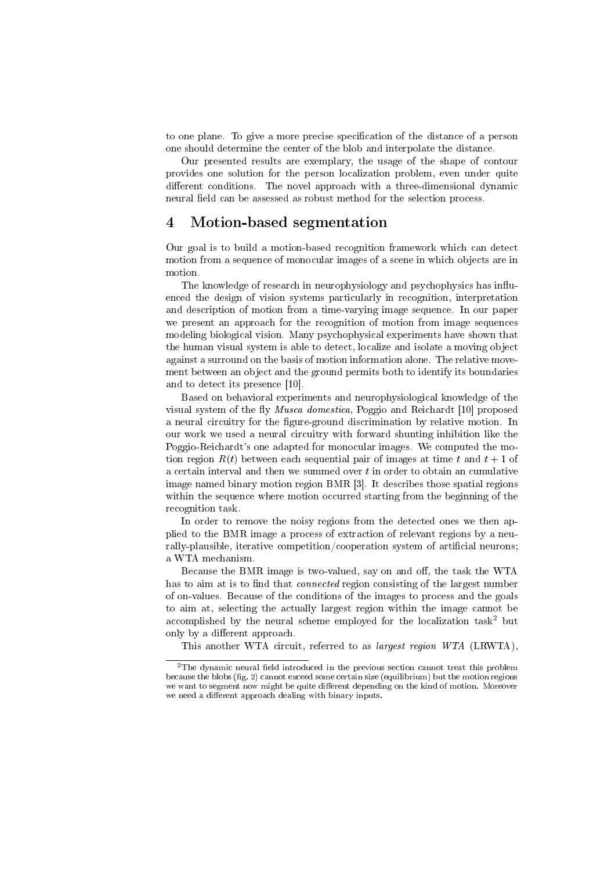to one plane To give a more precise specication of the distance of a person one should determine the center of the blob and interpolate the distance

Our presented results are exemplary- the usage of the shape of contour provides one solution for the person is the problem- problem- and the measure quite  $\sim$ different conditions. The novel approach with a three-dimensional dynamic neural field can be assessed as robust method for the selection process.

#### $\overline{4}$ Motion-based segmentation

Our goal is to build a motion-based recognition framework which can detect motion from a sequence of monocular images of a scene in which objects are in motion.

The knowledge of research in neurophysiology and psychophysics has influenced the design of vision systems particularly in recognition- interpretation and description of motion from a time-varying image sequence. In our paper we present an approach for the recognition of motion from image sequences modeling biological vision Many psychophysical experiments have shown that the human visual system is able to detect- localize and isolate a moving ob ject against a surround on the basis of motion information alone The relative move ment between an object and the ground permits both to identify its boundaries and to detect its presence [10].

Based on behavioral experiments and neurophysiological knowledge of the visual system of the y Musca domestical - And Reichardt proposed by the proposed a neural circuitry for the figure-ground discrimination by relative motion. In our work we used a neural circuitry with forward shunting inhibition like the Poggio-Reichardt's one adapted for monocular images. We computed the motion region  $R(t)$  between each sequential pair of images at time t and  $t + 1$  of a certain interval and then we summed over <sup>t</sup> in order to obtain an cumulative image named binary motion region BMR [3]. It describes those spatial regions within the sequence where motion occurred starting from the beginning of the recognition task

In order to remove the noisy regions from the detected ones we then ap plied to the BMR image a process of extraction of relevant regions by a neu rally platforms in articles in a really continued, it is platformation are the articles articles in a real  $\sim$ a WTA mechanism

Because the BMR image is twovalued- say on and o- the task the WTA has to aim at is to find that *connected* region consisting of the largest number of on-values. Because of the conditions of the images to process and the goals  $\mathcal{S}$  are an actually large the actually largest regions with the image cannot be imaginated by accomplished by the neural scheme employed for the localization task-but only by a different approach.

This and there we can also as largest region with the contract  $\mathcal{L}$ 

<sup>-</sup>The dynamic neural eld introduced in the previous section cannot treat this problembecause the blobs  $(fig. 2)$  cannot exceed some certain size (equilibrium) but the motion regions we want to segment now might be quite different depending on the kind of motion. Moreover we need a different approach dealing with binary inputs.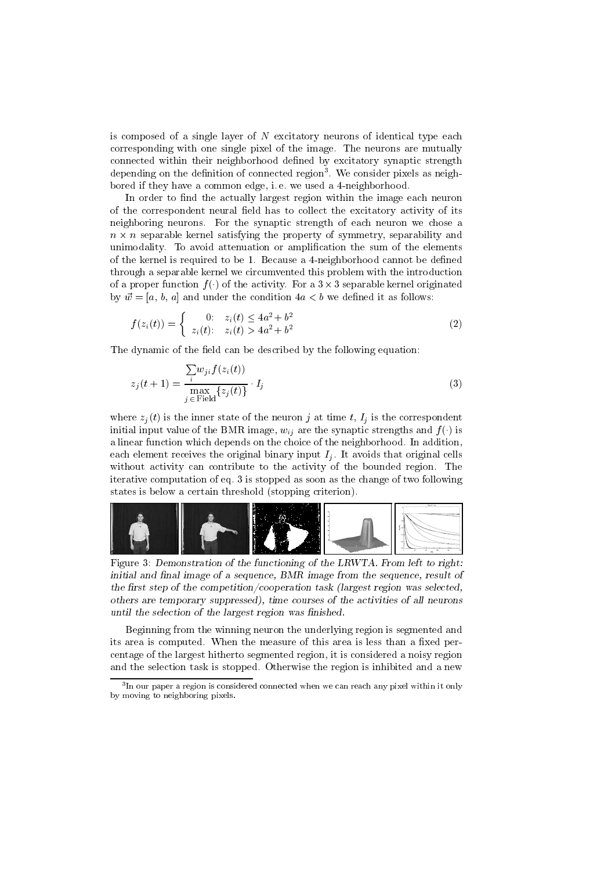is composed of a single layer of  $N$  excitatory neurons of identical type each corresponding with one single pixel of the image. The neurons are mutually connected within their neighborhood defined by excitatory synaptic strength depending on the denition of connected region We consider pixels as neigh bored in the west and they have a common edge-

In order to find the actually largest region within the image each neuron of the correspondent neural field has to collect the excitatory activity of its neighboring neurons. For the synaptic strength of each neuron we chose a  $n \times n$  separable kernel satisfying the property of symmetry, separability and unimodality To avoid attenuation or amplication the sum of the elements of the kernel is required to be 1. Because a 4-neighborhood cannot be defined through a separable kernel we circumvented this problem with the introduction of a proper function  $f(\cdot)$  of the activity. For a  $3\times 3$  separable kernel originated by  $\vec{w} = [a, b, a]$  and under the condition  $4a < b$  we defined it as follows:

$$
f(z_i(t)) = \begin{cases} 0: & z_i(t) \le 4a^2 + b^2 \\ z_i(t): & z_i(t) > 4a^2 + b^2 \end{cases} \tag{2}
$$

The dynamic of the field can be described by the following equation:

$$
z_j(t+1) = \frac{\sum_i w_{ji} f(z_i(t))}{\max_{j \in \text{Field}} \{z_j(t)\}} \cdot I_j
$$
\n(3)

where  $\mathbf{y}$  is the inner state of the neuron japon japon japon japon japon japon japon japon japon japon japon japon japon japon japon japon japon japon japon japon japon japon japon japon japon japon japon japon japon initial input value of the BMT image,  $w_{ij}$  are the synaptic strengths and  $f(\cdot)$  is a linear function which depends on the choice of the neighborhood. In addition, each element receives the original binary input  $I_i$ . It avoids that original cells without activity can contribute to the activity of the bounded region. The iterative computation of eq.  $3$  is stopped as soon as the change of two following states is below as certain threshold (stopping criterion).



Figure 3: Demonstration of the functioning of the LRWTA. From left to right: initial and final image of a sequence,  $BMR$  image from the sequence, result of the rst step of the competition cooperation task largest region was selected others are temporary suppressed), time courses of the activities of all neurons until the selection of the largest region was finished.

Beginning from the winning neuron the underlying region is segmented and its area is computed. When the measure of this area is less than a fixed percentage of the largest hitler in the largest hitler segmented region-largest hitler and considered a noisy reg and the selection task is stopped. Otherwise the region is inhibited and a new

In our paper a region is considered connected when we can reach any pixel within it onlyby moving to neighboring pixels